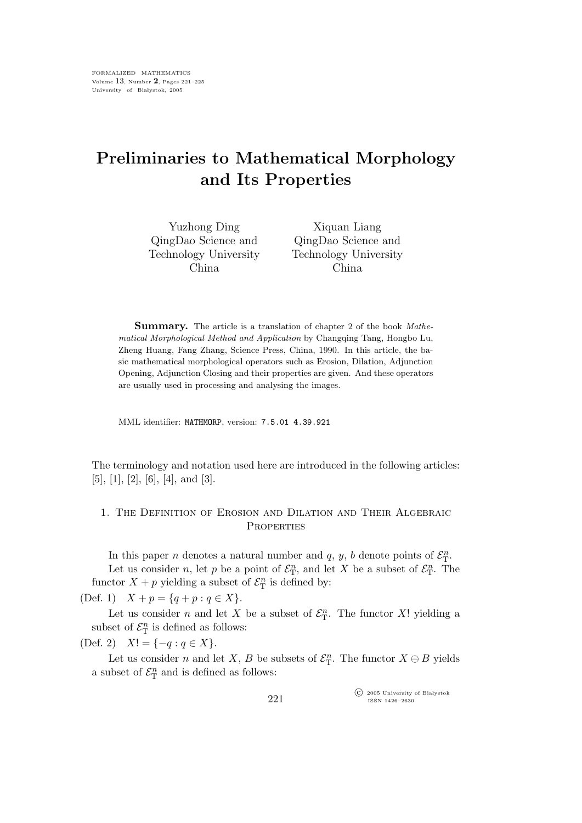# Preliminaries to Mathematical Morphology and Its Properties

| Yuzhong Ding          | Xiquan Liang          |
|-----------------------|-----------------------|
| QingDao Science and   | QingDao Science and   |
| Technology University | Technology University |
| China.                | China.                |

Summary. The article is a translation of chapter 2 of the book Mathematical Morphological Method and Application by Changqing Tang, Hongbo Lu, Zheng Huang, Fang Zhang, Science Press, China, 1990. In this article, the basic mathematical morphological operators such as Erosion, Dilation, Adjunction Opening, Adjunction Closing and their properties are given. And these operators are usually used in processing and analysing the images.

MML identifier: MATHMORP, version: 7.5.01 4.39.921

The terminology and notation used here are introduced in the following articles: [5], [1], [2], [6], [4], and [3].

## 1. The Definition of Erosion and Dilation and Their Algebraic **PROPERTIES**

In this paper *n* denotes a natural number and  $q, y, b$  denote points of  $\mathcal{E}_{\mathrm{T}}^n$ . Let us consider *n*, let *p* be a point of  $\mathcal{E}_{\mathcal{T}}^n$ , and let *X* be a subset of  $\mathcal{E}_{\mathcal{T}}^n$ . The functor  $X + p$  yielding a subset of  $\mathcal{E}_{\mathrm{T}}^n$  is defined by:

(Def. 1)  $X + p = \{q + p : q \in X\}.$ 

Let us consider *n* and let X be a subset of  $\mathcal{E}_{\rm T}^n$ . The functor X! yielding a subset of  $\mathcal{E}_{\mathrm{T}}^n$  is defined as follows:

(Def. 2)  $X! = \{-q : q \in X\}.$ 

Let us consider n and let X, B be subsets of  $\mathcal{E}_{\mathcal{T}}^n$ . The functor  $X \ominus B$  yields a subset of  $\mathcal{E}_{\textrm{T}}^n$  and is defined as follows:

> $\widehat{\mathbb{C}}$  2005 University of Białystok ISSN 1426–2630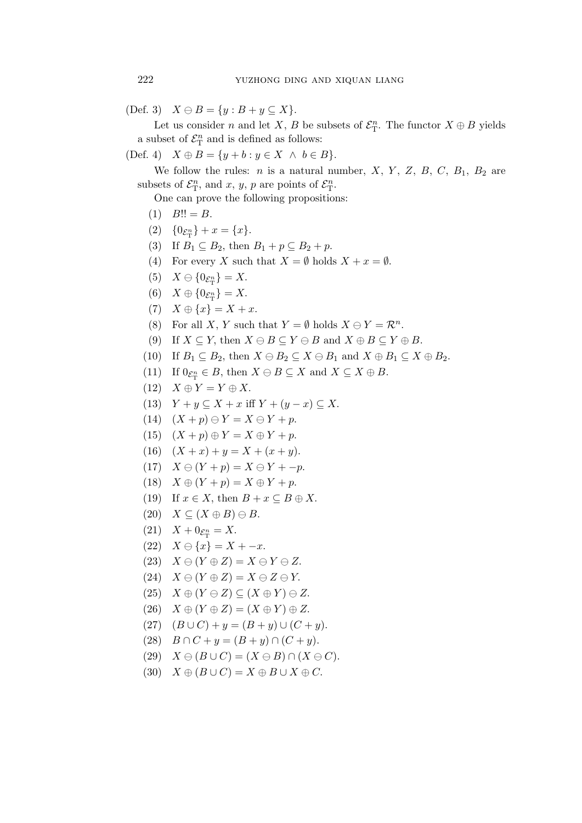(Def. 3)  $X \ominus B = \{y : B + y \subseteq X\}.$ 

Let us consider n and let X, B be subsets of  $\mathcal{E}_{\mathcal{T}}^n$ . The functor  $X \oplus B$  yields a subset of  $\mathcal{E}_{\mathrm{T}}^n$  and is defined as follows:

(Def. 4)  $X \oplus B = \{y + b : y \in X \land b \in B\}.$ 

We follow the rules:  $n$  is a natural number,  $X$ ,  $Y$ ,  $Z$ ,  $B$ ,  $C$ ,  $B_1$ ,  $B_2$  are subsets of  $\mathcal{E}_{\mathrm{T}}^n$ , and x, y, p are points of  $\mathcal{E}_{\mathrm{T}}^n$ .

One can prove the following propositions:

- $(1)$   $B!! = B.$
- (2)  ${0 \varepsilon_{\mathrm{T}}^n} + x = {x}.$
- (3) If  $B_1 \subseteq B_2$ , then  $B_1 + p \subseteq B_2 + p$ .
- (4) For every X such that  $X = \emptyset$  holds  $X + x = \emptyset$ .
- (5)  $X \ominus \{0_{\mathcal{E}_{\mathrm{T}}^n}\}=X.$
- (6)  $X \oplus \{0_{\mathcal{E}_{\mathrm{T}}^n}\}=X.$
- (7)  $X \oplus \{x\} = X + x$ .
- (8) For all X, Y such that  $Y = \emptyset$  holds  $X \ominus Y = \mathcal{R}^n$ .
- (9) If  $X \subseteq Y$ , then  $X \ominus B \subseteq Y \ominus B$  and  $X \oplus B \subseteq Y \oplus B$ .
- (10) If  $B_1 \subseteq B_2$ , then  $X \ominus B_2 \subseteq X \ominus B_1$  and  $X \oplus B_1 \subseteq X \oplus B_2$ .
- (11) If  $0_{\mathcal{E}_{\mathcal{T}}^n} \in B$ , then  $X \ominus B \subseteq X$  and  $X \subseteq X \oplus B$ .
- $(12)$   $X \oplus Y = Y \oplus X$ .
- (13)  $Y + y \subseteq X + x$  iff  $Y + (y x) \subseteq X$ .
- (14)  $(X + p) \ominus Y = X \ominus Y + p$ .
- (15)  $(X + p) \oplus Y = X \oplus Y + p$ .
- (16)  $(X + x) + y = X + (x + y).$
- (17)  $X \ominus (Y + p) = X \ominus Y + -p.$
- (18)  $X \oplus (Y + p) = X \oplus Y + p.$
- (19) If  $x \in X$ , then  $B + x \subseteq B \oplus X$ .
- (20)  $X \subseteq (X \oplus B) \ominus B$ .
- $(21)$   $X + 0_{\mathcal{E}_{\rm T}^n} = X.$
- (22)  $X \ominus \{x\} = X x$ .
- (23)  $X \ominus (Y \oplus Z) = X \ominus Y \ominus Z$ .
- (24)  $X \ominus (Y \oplus Z) = X \ominus Z \ominus Y$ .
- (25)  $X \oplus (Y \ominus Z) \subseteq (X \oplus Y) \ominus Z$ .
- $(26)$   $X \oplus (Y \oplus Z) = (X \oplus Y) \oplus Z.$
- (27)  $(B \cup C) + y = (B + y) \cup (C + y).$
- (28)  $B \cap C + y = (B + y) \cap (C + y)$ .
- (29)  $X \ominus (B \cup C) = (X \ominus B) \cap (X \ominus C).$
- (30)  $X \oplus (B \cup C) = X \oplus B \cup X \oplus C.$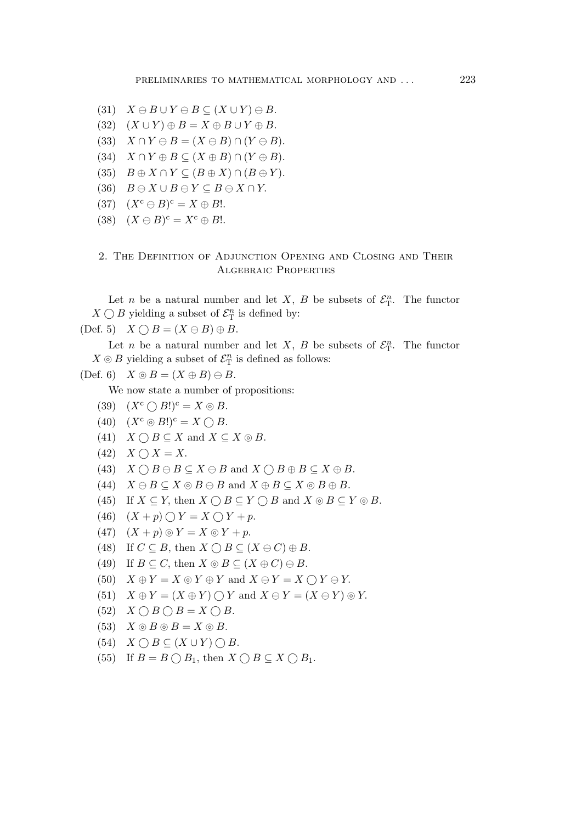- (31)  $X \ominus B \cup Y \ominus B \subseteq (X \cup Y) \ominus B$ .
- (32)  $(X \cup Y) \oplus B = X \oplus B \cup Y \oplus B$ .
- (33)  $X \cap Y \ominus B = (X \ominus B) \cap (Y \ominus B).$
- (34)  $X \cap Y \oplus B \subseteq (X \oplus B) \cap (Y \oplus B).$
- (35)  $B \oplus X \cap Y \subseteq (B \oplus X) \cap (B \oplus Y).$
- (36)  $B \ominus X \cup B \ominus Y \subseteq B \ominus X \cap Y$ .
- (37)  $(X^c \ominus B)^c = X \oplus B!$ .
- (38)  $(X \ominus B)^c = X^c \oplus B!$ .

### 2. The Definition of Adjunction Opening and Closing and Their Algebraic Properties

Let *n* be a natural number and let X, B be subsets of  $\mathcal{E}_{\mathcal{T}}^n$ . The functor  $X \bigcirc B$  yielding a subset of  $\mathcal{E}_{\mathrm{T}}^n$  is defined by:

(Def. 5)  $X \bigcap B = (X \ominus B) \oplus B$ .

Let *n* be a natural number and let X, B be subsets of  $\mathcal{E}_{\mathcal{T}}^n$ . The functor  $X \odot B$  yielding a subset of  $\mathcal{E}_{\textrm{T}}^n$  is defined as follows:

$$
(Def. 6) \tX \otimes B = (X \oplus B) \oplus B.
$$

We now state a number of propositions:

- (39)  $(X^c \cap B!)^c = X \circledcirc B$ .
- $(40)$   $(X^c \odot B!)^c = X \bigcap B$ .
- (41)  $X \cap B \subseteq X$  and  $X \subseteq X \circledcirc B$ .
- $(42)$   $X \bigcap X = X$ .
- (43)  $X \cap B \ominus B \subseteq X \ominus B$  and  $X \cap B \oplus B \subseteq X \oplus B$ .
- (44)  $X \ominus B \subseteq X \odot B \ominus B$  and  $X \oplus B \subseteq X \odot B \oplus B$ .
- (45) If  $X \subseteq Y$ , then  $X \cap B \subseteq Y \cap B$  and  $X \circledcirc B \subseteq Y \circledcirc B$ .
- (46)  $(X + p) \bigcirc Y = X \bigcirc Y + p$ .
- (47)  $(X + p) \odot Y = X \odot Y + p$ .
- (48) If  $C \subseteq B$ , then  $X \cap B \subseteq (X \ominus C) \oplus B$ .
- (49) If  $B \subseteq C$ , then  $X \odot B \subseteq (X \oplus C) \ominus B$ .
- (50)  $X \oplus Y = X \odot Y \oplus Y$  and  $X \ominus Y = X \bigcap Y \ominus Y$ .
- (51)  $X \oplus Y = (X \oplus Y) \cap Y$  and  $X \ominus Y = (X \ominus Y) \odot Y$ .
- $(52)$   $X \cap B \cap B = X \cap B$ .
- (53)  $X \odot B \odot B = X \odot B$ .
- (54)  $X \bigcirc B \subseteq (X \cup Y) \bigcirc B$ .
- (55) If  $B = B \bigcirc B_1$ , then  $X \bigcirc B \subseteq X \bigcirc B_1$ .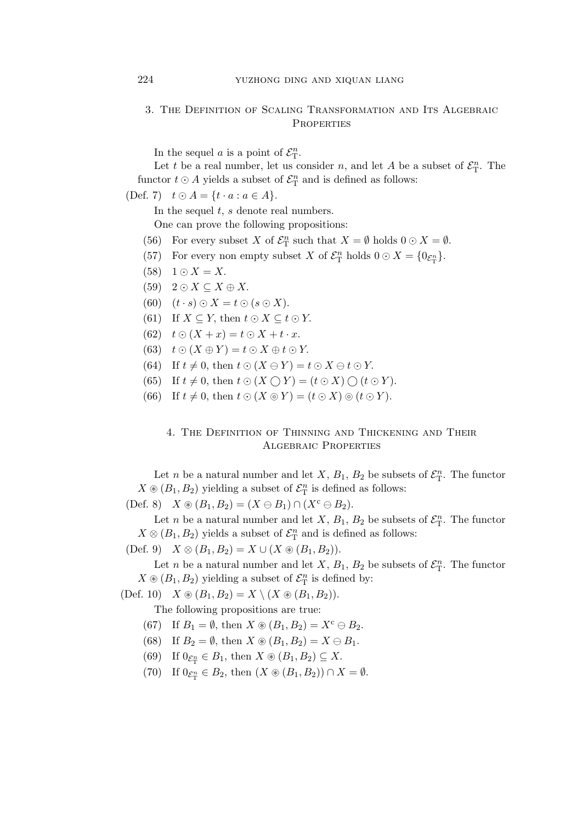#### 3. The Definition of Scaling Transformation and Its Algebraic **PROPERTIES**

In the sequel a is a point of  $\mathcal{E}_{\mathrm{T}}^n$ .

Let t be a real number, let us consider n, and let A be a subset of  $\mathcal{E}_{\mathrm{T}}^n$ . The functor  $t \odot A$  yields a subset of  $\mathcal{E}_{\textrm{T}}^n$  and is defined as follows:

(Def. 7)  $t \odot A = \{t \cdot a : a \in A\}.$ 

In the sequel  $t$ ,  $s$  denote real numbers.

One can prove the following propositions:

- (56) For every subset X of  $\mathcal{E}_{\mathcal{T}}^n$  such that  $X = \emptyset$  holds  $0 \odot X = \emptyset$ .
- (57) For every non empty subset X of  $\mathcal{E}_{\mathcal{T}}^n$  holds  $0 \odot X = \{0_{\mathcal{E}_{\mathcal{T}}^n}\}.$
- $(58)$  1 ⊙  $X = X$ .
- $(59)$  2 ⊙  $X \subseteq X \oplus X$ .
- (60)  $(t \cdot s) \odot X = t \odot (s \odot X).$
- (61) If  $X \subseteq Y$ , then  $t \odot X \subseteq t \odot Y$ .
- (62)  $t \odot (X + x) = t \odot X + t \cdot x.$
- (63)  $t \odot (X \oplus Y) = t \odot X \oplus t \odot Y$ .
- (64) If  $t \neq 0$ , then  $t \odot (X \ominus Y) = t \odot X \ominus t \odot Y$ .
- (65) If  $t \neq 0$ , then  $t \odot (X \cap Y) = (t \odot X) \cap (t \odot Y)$ .
- (66) If  $t \neq 0$ , then  $t \odot (X \odot Y) = (t \odot X) \odot (t \odot Y)$ .

## 4. The Definition of Thinning and Thickening and Their Algebraic Properties

Let *n* be a natural number and let X,  $B_1$ ,  $B_2$  be subsets of  $\mathcal{E}_{\mathrm{T}}^n$ . The functor  $X \circledast (B_1, B_2)$  yielding a subset of  $\mathcal{E}_T^n$  is defined as follows:

(Def. 8)  $X \circledast (B_1, B_2) = (X \ominus B_1) \cap (X^c \ominus B_2).$ 

Let *n* be a natural number and let X,  $B_1$ ,  $B_2$  be subsets of  $\mathcal{E}_{\rm T}^n$ . The functor  $X \otimes (B_1, B_2)$  yields a subset of  $\mathcal{E}_T^n$  and is defined as follows:

(Def. 9)  $X \otimes (B_1, B_2) = X \cup (X \otimes (B_1, B_2)).$ 

Let *n* be a natural number and let X,  $B_1$ ,  $B_2$  be subsets of  $\mathcal{E}_{\rm T}^n$ . The functor  $X \otimes (B_1, B_2)$  yielding a subset of  $\mathcal{E}_{\mathrm{T}}^n$  is defined by:

(Def. 10)  $X \otimes (B_1, B_2) = X \setminus (X \otimes (B_1, B_2)).$ 

The following propositions are true:

- (67) If  $B_1 = \emptyset$ , then  $X \circledast (B_1, B_2) = X^c \ominus B_2$ .
- (68) If  $B_2 = \emptyset$ , then  $X \circledast (B_1, B_2) = X \ominus B_1$ .
- (69) If  $0_{\mathcal{E}_{\mathcal{T}}^n} \in B_1$ , then  $X \circledast (B_1, B_2) \subseteq X$ .
- (70) If  $0_{\mathcal{E}_{\mathcal{T}}^n} \in B_2$ , then  $(X \circledast (B_1, B_2)) \cap X = \emptyset$ .